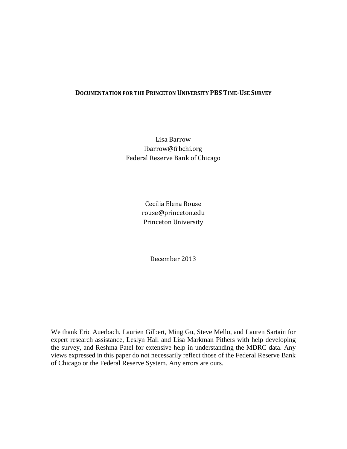# **DOCUMENTATION FOR THE PRINCETON UNIVERSITY PBS TIME-USE SURVEY**

Lisa Barrow lbarrow@frbchi.org Federal Reserve Bank of Chicago

> Cecilia Elena Rouse rouse@princeton.edu Princeton University

> > December 2013

We thank Eric Auerbach, Laurien Gilbert, Ming Gu, Steve Mello, and Lauren Sartain for expert research assistance, Leslyn Hall and Lisa Markman Pithers with help developing the survey, and Reshma Patel for extensive help in understanding the MDRC data. Any views expressed in this paper do not necessarily reflect those of the Federal Reserve Bank of Chicago or the Federal Reserve System. Any errors are ours.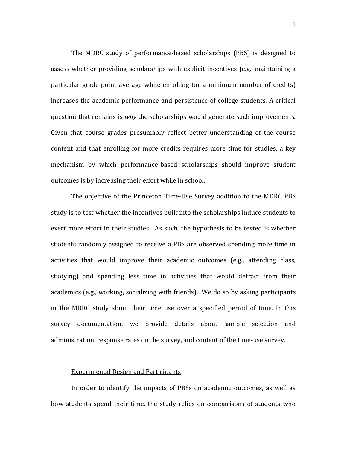The MDRC study of performance-based scholarships (PBS) is designed to assess whether providing scholarships with explicit incentives (e.g., maintaining a particular grade-point average while enrolling for a minimum number of credits) increases the academic performance and persistence of college students. A critical question that remains is *why* the scholarships would generate such improvements. Given that course grades presumably reflect better understanding of the course content and that enrolling for more credits requires more time for studies, a key mechanism by which performance-based scholarships should improve student outcomes is by increasing their effort while in school.

The objective of the Princeton Time-Use Survey addition to the MDRC PBS study is to test whether the incentives built into the scholarships induce students to exert more effort in their studies. As such, the hypothesis to be tested is whether students randomly assigned to receive a PBS are observed spending more time in activities that would improve their academic outcomes (e.g., attending class, studying) and spending less time in activities that would detract from their academics (e.g., working, socializing with friends). We do so by asking participants in the MDRC study about their time use over a specified period of time. In this survey documentation, we provide details about sample selection and administration, response rates on the survey, and content of the time-use survey.

# Experimental Design and Participants

In order to identify the impacts of PBSs on academic outcomes, as well as how students spend their time, the study relies on comparisons of students who

1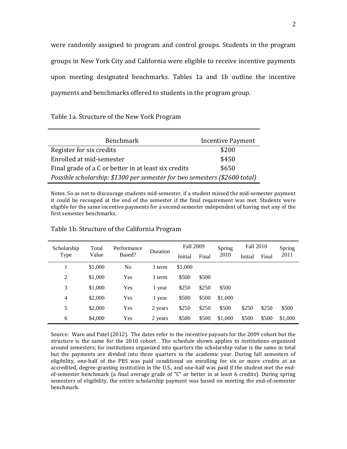were randomly assigned to program and control groups. Students in the program groups in New York City and California were eligible to receive incentive payments upon meeting designated benchmarks. Tables 1a and 1b outline the incentive payments and benchmarks offered to students in the program group.

Table 1a. Structure of the New York Program

| <b>Benchmark</b>                                                           | <b>Incentive Payment</b> |
|----------------------------------------------------------------------------|--------------------------|
| Register for six credits                                                   | \$200                    |
| Enrolled at mid-semester                                                   | \$450                    |
| Final grade of a C or better in at least six credits                       | \$650                    |
| Possible scholarship: \$1300 per semester for two semesters (\$2600 total) |                          |

Notes. So as not to discourage students mid-semester, if a student missed the mid-semester payment it could be recouped at the end of the semester if the final requirement was met. Students were eligible for the same incentive payments for a second semester independent of having met any of the first semester benchmarks.

| Scholarship    | Total   | Performance | Fall 2009<br>Duration |         |       | Spring  | Fall 2010 |       | Spring  |
|----------------|---------|-------------|-----------------------|---------|-------|---------|-----------|-------|---------|
| Type           | Value   | Based?      |                       | Initial | Final | 2010    | Initial   | Final | 2011    |
|                | \$1,000 | No          | 1 term                | \$1,000 |       |         |           |       |         |
| $\overline{2}$ | \$1,000 | Yes         | 1 term                | \$500   | \$500 |         |           |       |         |
| 3              | \$1,000 | Yes         | 1 year                | \$250   | \$250 | \$500   |           |       |         |
| $\overline{4}$ | \$2,000 | Yes         | 1 year                | \$500   | \$500 | \$1,000 |           |       |         |
| 5              | \$2,000 | Yes         | 2 years               | \$250   | \$250 | \$500   | \$250     | \$250 | \$500   |
| 6              | \$4,000 | Yes         | 2 years               | \$500   | \$500 | \$1,000 | \$500     | \$500 | \$1,000 |

## Table 1b. Structure of the California Program

Source: Ware and Patel (2012). The dates refer to the incentive payouts for the 2009 cohort but the structure is the same for the 2010 cohort. The schedule shown applies to institutions organized around semesters; for institutions organized into quarters the scholarship value is the same in total but the payments are divided into three quarters in the academic year. During fall semesters of eligibility, one-half of the PBS was paid conditional on enrolling for six or more credits at an accredited, degree-granting institution in the U.S., and one-half was paid if the student met the endof-semester benchmark (a final average grade of "C" or better in at least 6 credits). During spring semesters of eligibility, the entire scholarship payment was based on meeting the end-of-semester benchmark.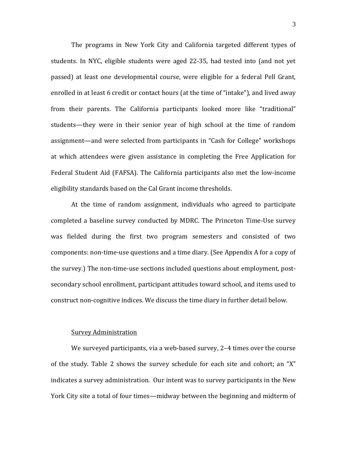The programs in New York City and California targeted different types of students. In NYC, eligible students were aged 22-35, had tested into (and not yet passed) at least one developmental course, were eligible for a federal Pell Grant, enrolled in at least 6 credit or contact hours (at the time of "intake"), and lived away from their parents. The California participants looked more like "traditional" students—they were in their senior year of high school at the time of random assignment—and were selected from participants in "Cash for College" workshops at which attendees were given assistance in completing the Free Application for Federal Student Aid (FAFSA). The California participants also met the low-income eligibility standards based on the Cal Grant income thresholds.

At the time of random assignment, individuals who agreed to participate completed a baseline survey conducted by MDRC. The Princeton Time-Use survey was fielded during the first two program semesters and consisted of two components: non-time-use questions and a time diary. (See Appendix A for a copy of the survey.) The non-time-use sections included questions about employment, postsecondary school enrollment, participant attitudes toward school, and items used to construct non-cognitive indices. We discuss the time diary in further detail below.

## Survey Administration

We surveyed participants, via a web-based survey, 2–4 times over the course of the study. Table 2 shows the survey schedule for each site and cohort; an "X" indicates a survey administration. Our intent was to survey participants in the New York City site a total of four times—midway between the beginning and midterm of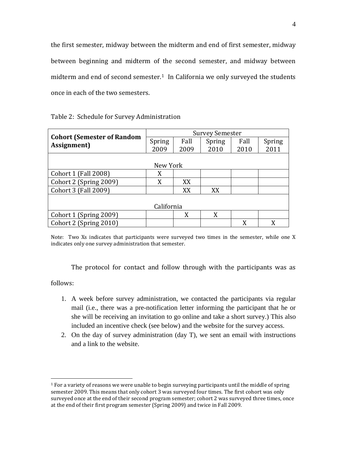the first semester, midway between the midterm and end of first semester, midway between beginning and midterm of the second semester, and midway between midterm and end of second semester.<sup>1</sup> In California we only surveyed the students once in each of the two semesters.

|                                                  | <b>Survey Semester</b> |      |        |      |        |  |
|--------------------------------------------------|------------------------|------|--------|------|--------|--|
| <b>Cohort (Semester of Random</b><br>Assignment) | Spring                 | Fall | Spring | Fall | Spring |  |
|                                                  | 2009                   | 2009 | 2010   | 2010 | 2011   |  |
|                                                  |                        |      |        |      |        |  |
|                                                  | New York               |      |        |      |        |  |
| Cohort 1 (Fall 2008)                             | X                      |      |        |      |        |  |
| Cohort 2 (Spring 2009)                           | X                      | XX   |        |      |        |  |
| Cohort 3 (Fall 2009)                             |                        | XX   | XX     |      |        |  |
|                                                  |                        |      |        |      |        |  |
| California                                       |                        |      |        |      |        |  |
| Cohort 1 (Spring 2009)                           |                        | X    | X      |      |        |  |
| Cohort 2 (Spring 2010)                           |                        |      |        | X    | X      |  |

Table 2: Schedule for Survey Administration

Note: Two Xs indicates that participants were surveyed two times in the semester, while one X indicates only one survey administration that semester.

The protocol for contact and follow through with the participants was as

follows:

- 1. A week before survey administration, we contacted the participants via regular mail (i.e., there was a pre-notification letter informing the participant that he or she will be receiving an invitation to go online and take a short survey.) This also included an incentive check (see below) and the website for the survey access.
- 2. On the day of survey administration (day T), we sent an email with instructions and a link to the website.

<span id="page-4-0"></span> $<sup>1</sup>$  For a variety of reasons we were unable to begin surveying participants until the middle of spring</sup> semester 2009. This means that only cohort 3 was surveyed four times. The first cohort was only surveyed once at the end of their second program semester; cohort 2 was surveyed three times, once at the end of their first program semester (Spring 2009) and twice in Fall 2009.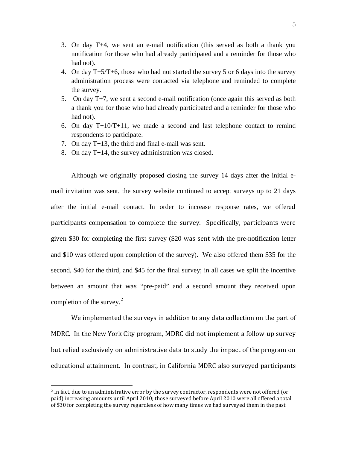- 3. On day T+4, we sent an e-mail notification (this served as both a thank you notification for those who had already participated and a reminder for those who had not).
- 4. On day T+5/T+6, those who had not started the survey 5 or 6 days into the survey administration process were contacted via telephone and reminded to complete the survey.
- 5. On day T+7, we sent a second e-mail notification (once again this served as both a thank you for those who had already participated and a reminder for those who had not).
- 6. On day  $T+10/T+11$ , we made a second and last telephone contact to remind respondents to participate.
- 7. On day T+13, the third and final e-mail was sent.
- 8. On day T+14, the survey administration was closed.

Although we originally proposed closing the survey 14 days after the initial email invitation was sent, the survey website continued to accept surveys up to 21 days after the initial e-mail contact. In order to increase response rates, we offered participants compensation to complete the survey. Specifically, participants were given \$30 for completing the first survey (\$20 was sent with the pre-notification letter and \$10 was offered upon completion of the survey). We also offered them \$35 for the second, \$40 for the third, and \$45 for the final survey; in all cases we split the incentive between an amount that was "pre-paid" and a second amount they received upon completion of the survey. $2$ 

We implemented the surveys in addition to any data collection on the part of MDRC. In the New York City program, MDRC did not implement a follow-up survey but relied exclusively on administrative data to study the impact of the program on educational attainment. In contrast, in California MDRC also surveyed participants

<span id="page-5-0"></span><sup>&</sup>lt;sup>2</sup> In fact, due to an administrative error by the survey contractor, respondents were not offered (or paid) increasing amounts until April 2010; those surveyed before April 2010 were all offered a total of \$30 for completing the survey regardless of how many times we had surveyed them in the past.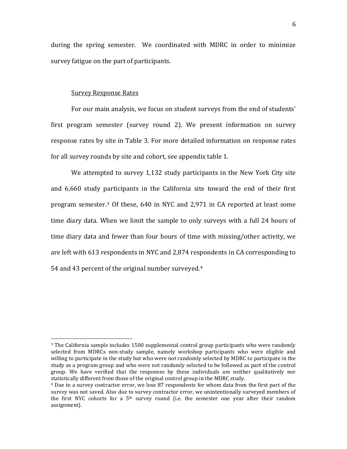during the spring semester. We coordinated with MDRC in order to minimize survey fatigue on the part of participants.

# Survey Response Rates

For our main analysis, we focus on student surveys from the end of students' first program semester (survey round 2). We present information on survey response rates by site in Table 3. For more detailed information on response rates for all survey rounds by site and cohort, see appendix table 1.

We attempted to survey 1,132 study participants in the New York City site and 6,660 study participants in the California site toward the end of their first program semester.[3](#page-6-0) Of these, 640 in NYC and 2,971 in CA reported at least some time diary data. When we limit the sample to only surveys with a full 24 hours of time diary data and fewer than four hours of time with missing/other activity, we are left with 613 respondents in NYC and 2,874 respondents in CA corresponding to 54 and 43 percent of the original number surveyed. [4](#page-6-1)

<span id="page-6-0"></span><sup>&</sup>lt;sup>3</sup> The California sample includes 1500 supplemental control group participants who were randomly selected from MDRCs non-study sample, namely workshop participants who were eligible and willing to participate in the study but who were not randomly selected by MDRC to participate in the study as a program group and who were not randomly selected to be followed as part of the control group. We have verified that the responses by these individuals are neither qualitatively nor statistically different from those of the original control group in the MDRC study.

<span id="page-6-1"></span><sup>4</sup> Due to a survey contractor error, we lose 87 respondents for whom data from the first part of the survey was not saved. Also due to survey contractor error, we unintentionally surveyed members of the first NYC cohorts for a  $5<sup>th</sup>$  survey round (i.e. the semester one year after their random assignment).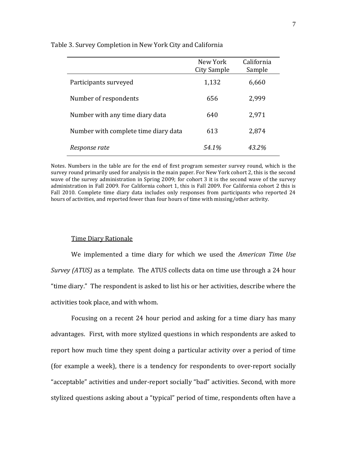|                                      | New York<br>City Sample | California<br>Sample |
|--------------------------------------|-------------------------|----------------------|
| Participants surveyed                | 1,132                   | 6,660                |
| Number of respondents                | 656                     | 2,999                |
| Number with any time diary data      | 640                     | 2,971                |
| Number with complete time diary data | 613                     | 2,874                |
| Response rate                        | 54.1%                   | 43.2%                |

## Table 3. Survey Completion in New York City and California

Notes. Numbers in the table are for the end of first program semester survey round, which is the survey round primarily used for analysis in the main paper. For New York cohort 2, this is the second wave of the survey administration in Spring 2009; for cohort 3 it is the second wave of the survey administration in Fall 2009. For California cohort 1, this is Fall 2009. For California cohort 2 this is Fall 2010. Complete time diary data includes only responses from participants who reported 24 hours of activities, and reported fewer than four hours of time with missing/other activity.

## Time Diary Rationale

We implemented a time diary for which we used the *American Time Use Survey (ATUS)* as a template. The ATUS collects data on time use through a 24 hour "time diary." The respondent is asked to list his or her activities, describe where the activities took place, and with whom.

Focusing on a recent 24 hour period and asking for a time diary has many advantages. First, with more stylized questions in which respondents are asked to report how much time they spent doing a particular activity over a period of time (for example a week), there is a tendency for respondents to over-report socially "acceptable" activities and under-report socially "bad" activities. Second, with more stylized questions asking about a "typical" period of time, respondents often have a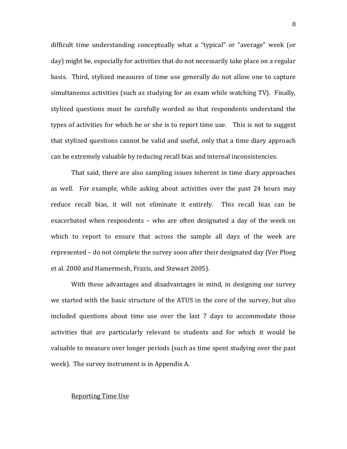difficult time understanding conceptually what a "typical" or "average" week (or day) might be, especially for activities that do not necessarily take place on a regular basis. Third, stylized measures of time use generally do not allow one to capture simultaneous activities (such as studying for an exam while watching TV). Finally, stylized questions must be carefully worded so that respondents understand the types of activities for which he or she is to report time use. This is not to suggest that stylized questions cannot be valid and useful, only that a time diary approach can be extremely valuable by reducing recall bias and internal inconsistencies.

That said, there are also sampling issues inherent in time diary approaches as well. For example, while asking about activities over the past 24 hours may reduce recall bias, it will not eliminate it entirely. This recall bias can be exacerbated when respondents – who are often designated a day of the week on which to report to ensure that across the sample all days of the week are represented – do not complete the survey soon after their designated day (Ver Ploeg et al. 2000 and Hamermesh, Frazis, and Stewart 2005).

With these advantages and disadvantages in mind, in designing our survey we started with the basic structure of the ATUS in the core of the survey, but also included questions about time use over the last 7 days to accommodate those activities that are particularly relevant to students and for which it would be valuable to measure over longer periods (such as time spent studying over the past week). The survey instrument is in Appendix A.

## Reporting Time Use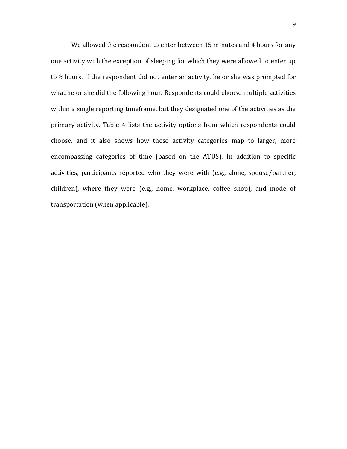We allowed the respondent to enter between 15 minutes and 4 hours for any one activity with the exception of sleeping for which they were allowed to enter up to 8 hours. If the respondent did not enter an activity, he or she was prompted for what he or she did the following hour. Respondents could choose multiple activities within a single reporting timeframe, but they designated one of the activities as the primary activity. Table 4 lists the activity options from which respondents could choose, and it also shows how these activity categories map to larger, more encompassing categories of time (based on the ATUS). In addition to specific activities, participants reported who they were with (e.g., alone, spouse/partner, children), where they were (e.g., home, workplace, coffee shop), and mode of transportation (when applicable).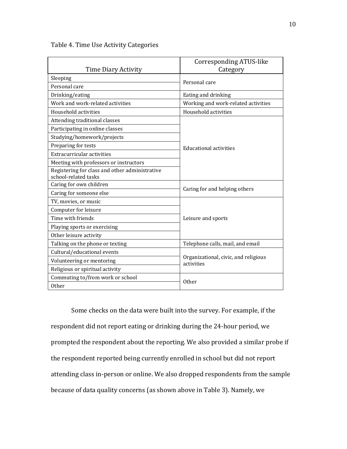|                     | Corresponding ATUS-like |
|---------------------|-------------------------|
| Time Diary Activity | Category                |
| Sleeping            | Personal care           |
| Personal care       |                         |
| Drinking/eating     | Eating and drinking     |

Table 4. Time Use Activity Categories

| <b>Time Diary Activity</b>                                             | Category                                           |  |
|------------------------------------------------------------------------|----------------------------------------------------|--|
| Sleeping                                                               | Personal care                                      |  |
| Personal care                                                          |                                                    |  |
| Drinking/eating                                                        | Eating and drinking                                |  |
| Work and work-related activities                                       | Working and work-related activities                |  |
| Household activities                                                   | Household activities                               |  |
| Attending traditional classes                                          |                                                    |  |
| Participating in online classes                                        |                                                    |  |
| Studying/homework/projects                                             |                                                    |  |
| Preparing for tests                                                    | Educational activities                             |  |
| Extracurricular activities                                             |                                                    |  |
| Meeting with professors or instructors                                 |                                                    |  |
| Registering for class and other administrative<br>school-related tasks |                                                    |  |
| Caring for own children                                                |                                                    |  |
| Caring for someone else                                                | Caring for and helping others                      |  |
| TV, movies, or music                                                   |                                                    |  |
| Computer for leisure                                                   |                                                    |  |
| Time with friends                                                      | Leisure and sports                                 |  |
| Playing sports or exercising                                           |                                                    |  |
| Other leisure activity                                                 |                                                    |  |
| Talking on the phone or texting                                        | Telephone calls, mail, and email                   |  |
| Cultural/educational events                                            |                                                    |  |
| Volunteering or mentoring                                              | Organizational, civic, and religious<br>activities |  |
| Religious or spiritual activity                                        |                                                    |  |
| Commuting to/from work or school                                       | Other                                              |  |
| <b>Other</b>                                                           |                                                    |  |

Some checks on the data were built into the survey. For example, if the respondent did not report eating or drinking during the 24-hour period, we prompted the respondent about the reporting. We also provided a similar probe if the respondent reported being currently enrolled in school but did not report attending class in-person or online. We also dropped respondents from the sample because of data quality concerns (as shown above in Table 3). Namely, we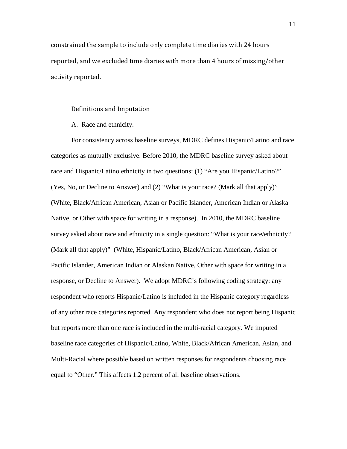constrained the sample to include only complete time diaries with 24 hours reported, and we excluded time diaries with more than 4 hours of missing/other activity reported.

## Definitions and Imputation

A. Race and ethnicity.

For consistency across baseline surveys, MDRC defines Hispanic/Latino and race categories as mutually exclusive. Before 2010, the MDRC baseline survey asked about race and Hispanic/Latino ethnicity in two questions: (1) "Are you Hispanic/Latino?" (Yes, No, or Decline to Answer) and (2) "What is your race? (Mark all that apply)" (White, Black/African American, Asian or Pacific Islander, American Indian or Alaska Native, or Other with space for writing in a response). In 2010, the MDRC baseline survey asked about race and ethnicity in a single question: "What is your race/ethnicity? (Mark all that apply)" (White, Hispanic/Latino, Black/African American, Asian or Pacific Islander, American Indian or Alaskan Native, Other with space for writing in a response, or Decline to Answer). We adopt MDRC's following coding strategy: any respondent who reports Hispanic/Latino is included in the Hispanic category regardless of any other race categories reported. Any respondent who does not report being Hispanic but reports more than one race is included in the multi-racial category. We imputed baseline race categories of Hispanic/Latino, White, Black/African American, Asian, and Multi-Racial where possible based on written responses for respondents choosing race equal to "Other." This affects 1.2 percent of all baseline observations.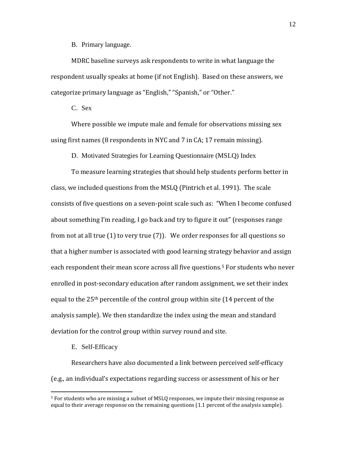B. Primary language.

MDRC baseline surveys ask respondents to write in what language the respondent usually speaks at home (if not English). Based on these answers, we categorize primary language as "English," "Spanish," or "Other."

C. Sex

Where possible we impute male and female for observations missing sex using first names (8 respondents in NYC and 7 in CA; 17 remain missing).

D. Motivated Strategies for Learning Questionnaire (MSLQ) Index

To measure learning strategies that should help students perform better in class, we included questions from the MSLQ (Pintrich et al. 1991). The scale consists of five questions on a seven-point scale such as: "When I become confused about something I'm reading, I go back and try to figure it out" (responses range from not at all true (1) to very true (7)). We order responses for all questions so that a higher number is associated with good learning strategy behavior and assign each respondent their mean score across all five questions.<sup>5</sup> For students who never enrolled in post-secondary education after random assignment, we set their index equal to the 25th percentile of the control group within site (14 percent of the analysis sample). We then standardize the index using the mean and standard deviation for the control group within survey round and site.

## E. Self-Efficacy

Researchers have also documented a link between perceived self-efficacy (e.g., an individual's expectations regarding success or assessment of his or her

<span id="page-12-0"></span> <sup>5</sup> For students who are missing a subset of MSLQ responses, we impute their missing response as equal to their average response on the remaining questions (1.1 percent of the analysis sample).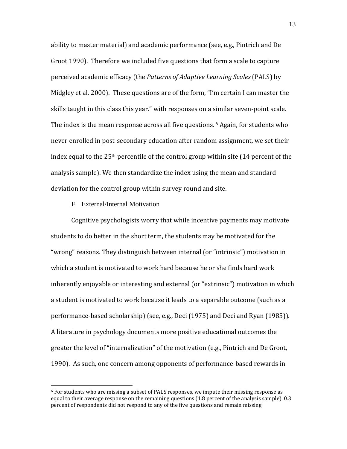ability to master material) and academic performance (see, e.g., Pintrich and De Groot 1990). Therefore we included five questions that form a scale to capture perceived academic efficacy (the *Patterns of Adaptive Learning Scales* (PALS) by Midgley et al. 2000). These questions are of the form, "I'm certain I can master the skills taught in this class this year." with responses on a similar seven-point scale. The index is the mean response across all five questions. <sup>[6](#page-13-0)</sup> Again, for students who never enrolled in post-secondary education after random assignment, we set their index equal to the 25th percentile of the control group within site (14 percent of the analysis sample). We then standardize the index using the mean and standard deviation for the control group within survey round and site.

F. External/Internal Motivation

Cognitive psychologists worry that while incentive payments may motivate students to do better in the short term, the students may be motivated for the "wrong" reasons. They distinguish between internal (or "intrinsic") motivation in which a student is motivated to work hard because he or she finds hard work inherently enjoyable or interesting and external (or "extrinsic") motivation in which a student is motivated to work because it leads to a separable outcome (such as a performance-based scholarship) (see, e.g., Deci (1975) and Deci and Ryan (1985)). A literature in psychology documents more positive educational outcomes the greater the level of "internalization" of the motivation (e.g., Pintrich and De Groot, 1990). As such, one concern among opponents of performance-based rewards in

<span id="page-13-0"></span> $6$  For students who are missing a subset of PALS responses, we impute their missing response as equal to their average response on the remaining questions (1.8 percent of the analysis sample). 0.3 percent of respondents did not respond to any of the five questions and remain missing.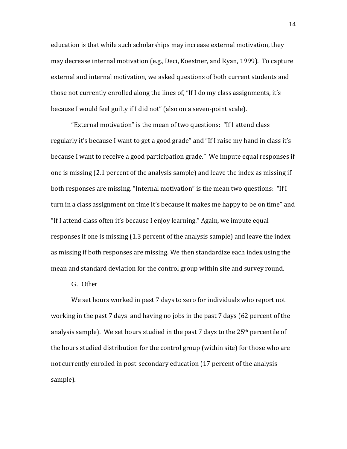education is that while such scholarships may increase external motivation, they may decrease internal motivation (e.g., Deci, Koestner, and Ryan, 1999). To capture external and internal motivation, we asked questions of both current students and those not currently enrolled along the lines of, "If I do my class assignments, it's because I would feel guilty if I did not" (also on a seven-point scale).

"External motivation" is the mean of two questions: "If I attend class regularly it's because I want to get a good grade" and "If I raise my hand in class it's because I want to receive a good participation grade." We impute equal responses if one is missing (2.1 percent of the analysis sample) and leave the index as missing if both responses are missing. "Internal motivation" is the mean two questions: "If I turn in a class assignment on time it's because it makes me happy to be on time" and "If I attend class often it's because I enjoy learning." Again, we impute equal responses if one is missing (1.3 percent of the analysis sample) and leave the index as missing if both responses are missing. We then standardize each index using the mean and standard deviation for the control group within site and survey round.

# G. Other

We set hours worked in past 7 days to zero for individuals who report not working in the past 7 days and having no jobs in the past 7 days (62 percent of the analysis sample). We set hours studied in the past 7 days to the  $25<sup>th</sup>$  percentile of the hours studied distribution for the control group (within site) for those who are not currently enrolled in post-secondary education (17 percent of the analysis sample).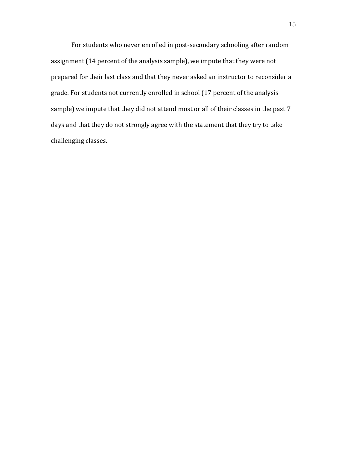For students who never enrolled in post-secondary schooling after random assignment (14 percent of the analysis sample), we impute that they were not prepared for their last class and that they never asked an instructor to reconsider a grade. For students not currently enrolled in school (17 percent of the analysis sample) we impute that they did not attend most or all of their classes in the past 7 days and that they do not strongly agree with the statement that they try to take challenging classes.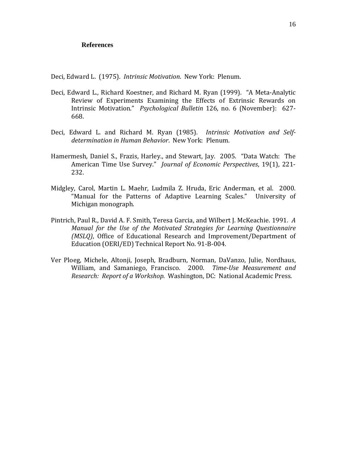## **References**

Deci, Edward L. (1975). *Intrinsic Motivation*. New York: Plenum.

- Deci, Edward L., Richard Koestner, and Richard M. Ryan (1999). "A Meta-Analytic Review of Experiments Examining the Effects of Extrinsic Rewards on Intrinsic Motivation." *Psychological Bulletin* 126, no. 6 (November): 627- 668.
- Deci, Edward L. and Richard M. Ryan (1985). *Intrinsic Motivation and Selfdetermination in Human Behavior*. New York: Plenum.
- Hamermesh, Daniel S., Frazis, Harley., and Stewart, Jay. 2005. "Data Watch: The American Time Use Survey." *Journal of Economic Perspectives*, 19(1), 221- 232.
- Midgley, Carol, Martin L. Maehr, Ludmila Z. Hruda, Eric Anderman, et al. 2000. "Manual for the Patterns of Adaptive Learning Scales." University of Michigan monograph.
- Pintrich, Paul R., David A. F. Smith, Teresa Garcia, and Wilbert J. McKeachie. 1991. *A Manual for the Use of the Motivated Strategies for Learning Questionnaire (MSLQ)*, Office of Educational Research and Improvement/Department of Education (OERI/ED) Technical Report No. 91-B-004.
- Ver Ploeg, Michele, Altonji, Joseph, Bradburn, Norman, DaVanzo, Julie, Nordhaus, William, and Samaniego, Francisco. 2000. *Time-Use Measurement and Research: Report of a Workshop*. Washington, DC: National Academic Press.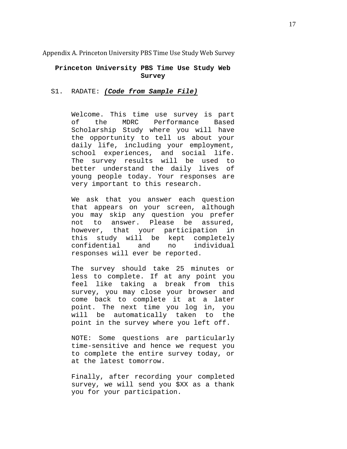Appendix A. Princeton University PBS Time Use Study Web Survey

## **Princeton University PBS Time Use Study Web Survey**

### S1. RADATE: *(Code from Sample File)*

Welcome. This time use survey is part of the MDRC Performance Based Scholarship Study where you will have the opportunity to tell us about your daily life, including your employment, school experiences, and social life. The survey results will be used to better understand the daily lives of young people today. Your responses are very important to this research.

We ask that you answer each question that appears on your screen, although you may skip any question you prefer<br>not to answer. Please be assured. not to answer. Please<br>however, that your par participation in this study will be kept completely<br>confidential and no individual confidential responses will ever be reported.

The survey should take 25 minutes or less to complete. If at any point you feel like taking a break from this survey, you may close your browser and come back to complete it at a later point. The next time you log in, you be automatically taken to point in the survey where you left off.

NOTE: Some questions are particularly time-sensitive and hence we request you to complete the entire survey today, or at the latest tomorrow.

Finally, after recording your completed survey, we will send you \$XX as a thank you for your participation.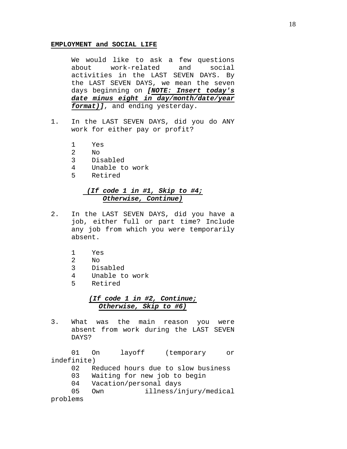#### **EMPLOYMENT and SOCIAL LIFE**

We would like to ask a few questions<br>about work-related and social work-related and social activities in the LAST SEVEN DAYS. By the LAST SEVEN DAYS, we mean the seven days beginning on *[NOTE: Insert today's date minus eight in day/month/date/year format)]*, and ending yesterday.

- 1. In the LAST SEVEN DAYS, did you do ANY work for either pay or profit?
	- 1 Yes
	- 2 No
	-
	- 3 Disabled 4 Unable to work<br>5 Retired
	- 5 Retired

# *(If code 1 in #1, Skip to #4; Otherwise, Continue)*

- 2. In the LAST SEVEN DAYS, did you have a job, either full or part time? Include any job from which you were temporarily absent.
	- 1 Yes<br>2 No
	-
	- 2 No 3 Disabled<br>4 Unable to
	- 4 Unable to work
	- 5 Retired

# *(If code 1 in #2, Continue; Otherwise, Skip to #6)*

3. What was the main reason you were absent from work during the LAST SEVEN DAYS?

01 On layoff (temporary or indefinite)<br>02 R

- 02 Reduced hours due to slow business<br>03 Waiting for new job to begin
- 03 Waiting for new job to begin<br>04 Vacation/personal days
- 04 Vacation/personal days<br>05 Own illness/i
- illness/injury/medical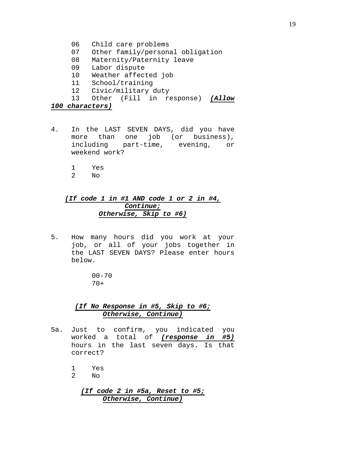- 06 Child care problems
- 07 Other family/personal obligation
- 08 Maternity/Paternity leave
- 09 Labor dispute
- 10 Weather affected job
- 11 School/training
- 12 Civic/military duty<br>13 Other (Fill in re
- 13 Other (Fill in response) *(Allow*

## *100 characters)*

- 4. In the LAST SEVEN DAYS, did you have more than one job (or business), including part-time, evening, or weekend work?
	- 1 Yes
	- $N<sub>O</sub>$

# *(If code 1 in #1 AND code 1 or 2 in #4, Continue; Otherwise, Skip to #6)*

5. How many hours did you work at your job, or all of your jobs together in the LAST SEVEN DAYS? Please enter hours below.

> $00 - 70$ 70+

## *(If No Response in #5, Skip to #6; Otherwise, Continue)*

- 5a. Just to confirm, you indicated you worked a total of *(response in #5)* hours in the last seven days. Is that correct?
	- 1 Yes<br>2 No
	- $N<sub>O</sub>$

*(If code 2 in #5a, Reset to #5; Otherwise, Continue)*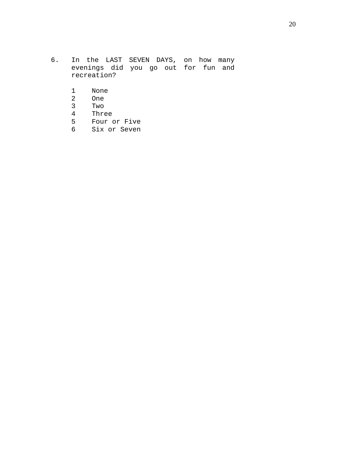- 6. In the LAST SEVEN DAYS, on how many evenings did you go out for fun and recreation?
	- 1 None<br>2 One
	-
	- 2 One<br>3 Two
	- 3 Two<br>4 Thre Three
	- 5 Four or Five
	- 6 Six or Seven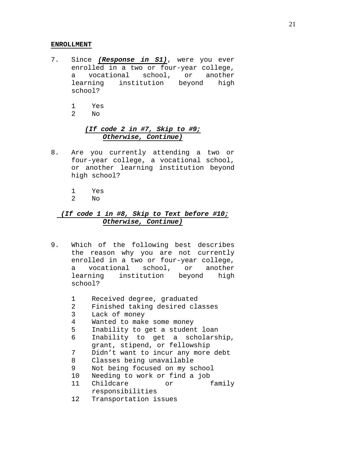#### **ENROLLMENT**

- 7. Since *(Response in S1)*, were you ever enrolled in a two or four-year college,<br>a vocational school, or another a vocational school, or another<br>learning institution beyond high institution beyond high school?
	- 1 Yes
	- $N<sub>O</sub>$

## *(If code 2 in #7, Skip to #9; Otherwise, Continue)*

- 8. Are you currently attending a two or four-year college, a vocational school, or another learning institution beyond high school?
	- 1 Yes
	- $N<sub>O</sub>$

# *(If code 1 in #8, Skip to Text before #10; Otherwise, Continue)*

- 9. Which of the following best describes the reason why you are not currently enrolled in a two or four-year college, a vocational school, or another<br>learning institution beyond high institution beyond high school?
	- 1 Received degree, graduated<br>2 Finished taking desired cla
	- 2 Finished taking desired classes<br>3 Lack of money
	- 3 Lack of money
	- 4 Wanted to make some money<br>5 Inability to get a studen
	- 5 Inability to get a student loan<br>6 Inability to get a scholars
	- Inability to get a scholarship, grant, stipend, or fellowship
	- 7 Didn't want to incur any more debt<br>8 Classes being unavailable
	- 8 Classes being unavailable
	- 9 Not being focused on my school<br>10 Needing to work or find a job
	-
	- 10 Needing to work or find a job<br>11 Childcare or 6 family Childcare responsibilities
	- 12 Transportation issues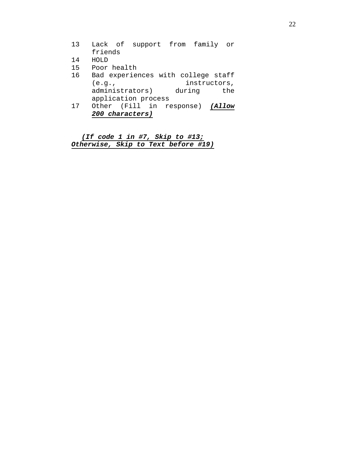|    | 200 characters)                    |     |
|----|------------------------------------|-----|
| 17 | Other (Fill in response) (Allow    |     |
|    | application process                |     |
|    | administrators) during             | the |
|    | instructors,<br>(e.g.,             |     |
| 16 | Bad experiences with college staff |     |
| 15 | Poor health                        |     |
| 14 | HOLD                               |     |
|    | friends                            |     |
| 13 | Lack of support from family or     |     |

*(If code 1 in #7, Skip to #13; Otherwise, Skip to Text before #19)*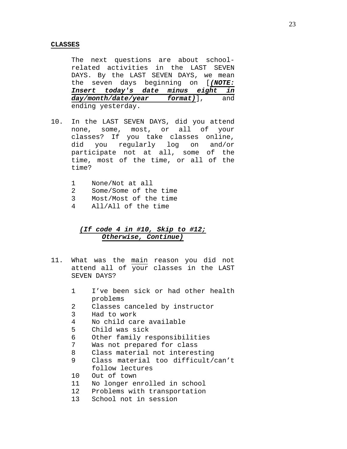#### **CLASSES**

The next questions are about schoolrelated activities in the LAST SEVEN DAYS. By the LAST SEVEN DAYS, we mean the seven days beginning on [*(NOTE: Insert today's date minus day/month/date/year format)*], and ending yesterday.

- 10. In the LAST SEVEN DAYS, did you attend none, some, most, or all of your classes? If you take classes online,<br>did you regularly log on and/or you regularly log on and/or participate not at all, some of the time, most of the time, or all of the time?
	- 1 None/Not at all<br>2 Some/Some of th
	- 2 Some/Some of the time<br>3 Most/Most of the time
	- 3 Most/Most of the time<br>4 All/All of the time
	- 4 All/All of the time

# *(If code 4 in #10, Skip to #12; Otherwise, Continue)*

- 11. What was the main reason you did not attend all of your classes in the LAST SEVEN DAYS?
	- 1 I've been sick or had other health problems
	- 2 Classes canceled by instructor<br>3 Had to work
	- 3 Had to work
	- 4 No child care available
	- Child was sick
	- 6 Other family responsibilities
	- 7 Was not prepared for class<br>8 Class material not interes
	- 8 Class material not interesting<br>9 Class material too difficult/
	- Class material too difficult/can't follow lectures
	- 10 Out of town<br>11 No longer em
	- 11 No longer enrolled in school<br>12 Problems with transportation
	- Problems with transportation
	- 13 School not in session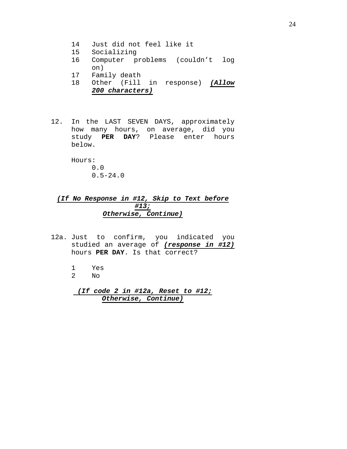- 14 Just did not feel like it
- 15 Socializing
- 16 Computer problems (couldn't log on)
- 17 Family death<br>18 Other (Fill
- 18 Other (Fill in response) *(Allow 200 characters)*
- 12. In the LAST SEVEN DAYS, approximately how many hours, on average, did you study **PER DAY**? Please enter hours below.

Hours: 0.0  $0.5 - 24.0$ 

# *(If No Response in #12, Skip to Text before #13; Otherwise, Continue)*

- 12a. Just to confirm, you indicated you studied an average of *(response in #12)* hours **PER DAY**. Is that correct?
	- 1 Yes<br>2 No No.
	- *(If code 2 in #12a, Reset to #12; Otherwise, Continue)*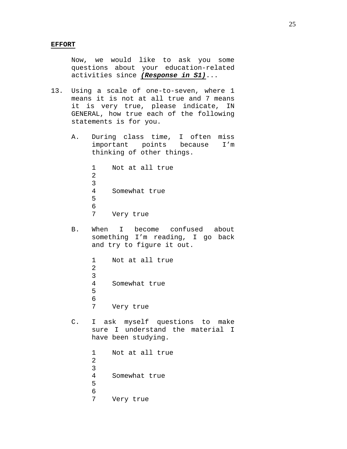Now, we would like to ask you some questions about your education-related activities since *(Response in S1)*...

- 13. Using a scale of one-to-seven, where 1 means it is not at all true and 7 means it is very true, please indicate, IN GENERAL, how true each of the following statements is for you.
	- A. During class time, I often miss<br>important points because I'm important points thinking of other things.

1 Not at all true 2 3<br>4 Somewhat true 5 6<br>7 Very true

B. When I become confused about something I'm reading, I go back and try to figure it out.

> 1 Not at all true 2 3 Somewhat true 5 6<br>7 Very true

C. I ask myself questions to make sure I understand the material I have been studying.

> 1 Not at all true 2  $\frac{3}{4}$ Somewhat true 5 6<br>7 Very true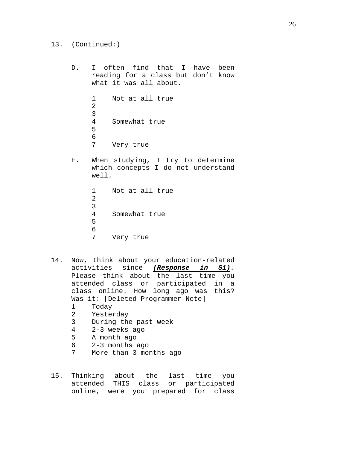- 13. (Continued:)
	- D. I often find that I have been reading for a class but don't know what it was all about.
		- 1 Not at all true 2 3<br>4 Somewhat true 5 6<br>7 Very true
	- E. When studying, I try to determine which concepts I do not understand well.

```
1 Not at all true
2
3<br>4
     Somewhat true
5
6<br>7
     Very true
```
- 14. Now, think about your education-related activities since *(Response in S1).*  Please think about the last time you attended class or participated in a class online. How long ago was this? Was it: [Deleted Programmer Note]<br>1 Today 1 Today<br>2 Yeste: 2 Yesterday<br>3 During the
	- 3 During the past week<br>4 2-3 weeks ago
	- 4 2-3 weeks ago
	- A month ago
	- 6 2-3 months ago
	- More than 3 months ago
- 15. Thinking about the last time you<br>attended THIS class or participated attended THIS class online, were you prepared for class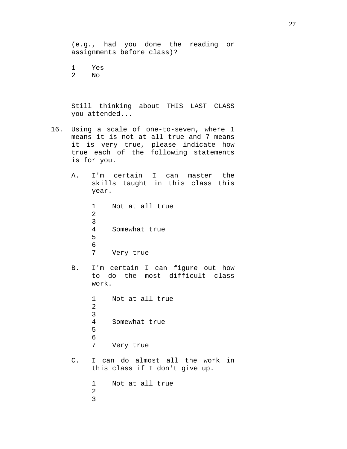(e.g., had you done the reading or assignments before class)?

1 Yes<br>2 No No.

Still thinking about THIS LAST CLASS you attended...

- 16. Using a scale of one-to-seven, where 1 means it is not at all true and 7 means it is very true, please indicate how true each of the following statements is for you.
	- A. I'm certain I can master the skills taught in this class this year.

1 Not at all true 2 3<br>4 Somewhat true 5 6<br>7 Very true

B. I'm certain I can figure out how to do the most difficult class work.

> 1 Not at all true 2 3 Somewhat true 5

6<br>7 Very true

C. I can do almost all the work in this class if I don't give up.

> 1 Not at all true 2 3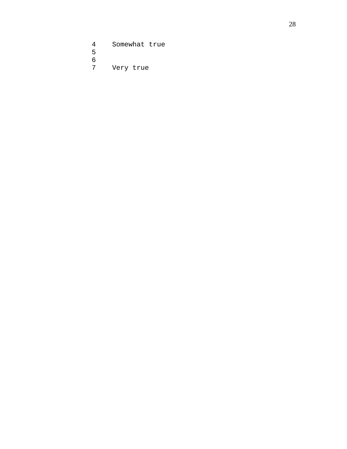Somewhat true 6<br>7 Very true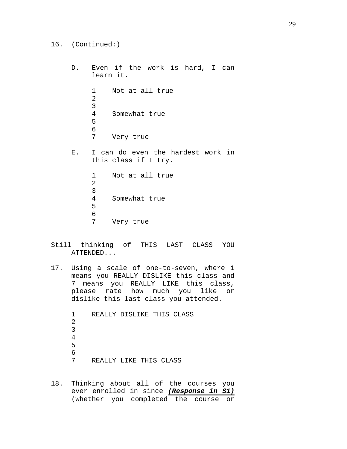- 16. (Continued:)
	- D. Even if the work is hard, I can learn it. 1 Not at all true 2 3 Somewhat true 5 6<br>7 Very true E. I can do even the hardest work in this class if I try.

1 Not at all true 2 3<br>4 Somewhat true 5 6<br>7 Very true

- Still thinking of THIS LAST CLASS YOU ATTENDED...
- 17. Using a scale of one-to-seven, where 1 means you REALLY DISLIKE this class and 7 means you REALLY LIKE this class, please rate how much you like or dislike this last class you attended.

1 REALLY DISLIKE THIS CLASS 2 3 4 5 6<br>7 REALLY LIKE THIS CLASS

18. Thinking about all of the courses you ever enrolled in since *(Response in S1)* (whether you completed the course or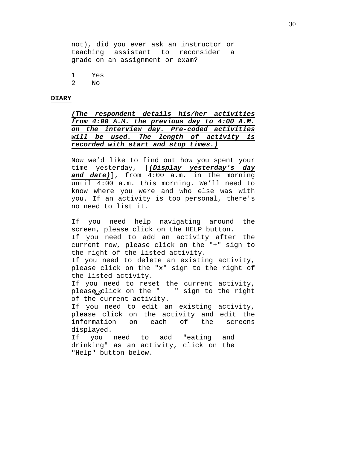not), did you ever ask an instructor or teaching assistant to reconsider a grade on an assignment or exam?

1 Yes<br>2 No

 $N<sub>O</sub>$ 

#### **DIARY**

*(The respondent details his/her activities from 4:00 A.M. the previous day to 4:00 A.M. on the interview day. Pre-coded activities will be used. The length of activity is recorded with start and stop times.)*

Now we'd like to find out how you spent your time yesterday, [*(Display yesterday's day and date)*], from 4:00 a.m. in the morning until 4:00 a.m. this morning. We'll need to know where you were and who else was with you. If an activity is too personal, there's no need to list it.

If you need help navigating around the screen, please click on the HELP button. If you need to add an activity after the current row, please click on the "+" sign to the right of the listed activity.

If you need to delete an existing activity, please click on the "x" sign to the right of the listed activity.

If you need to reset the current activity, please  $x$ lick on the " " sign to the right of the current activity.

If you need to edit an existing activity, please click on the activity and edit the<br>information on each of the screens information on each of the screens displayed.

If you need to add "eating and drinking" as an activity, click on the "Help" button below.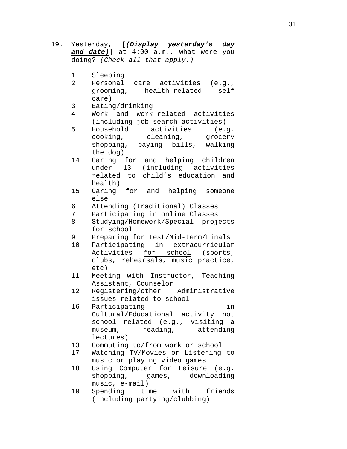19. Yesterday, [*(Display yesterday's day and date)*] at 4:00 a.m., what were you doing? *(Check all that apply.)* 1 Sleeping<br>2 Personal Personal care activities (e.g., grooming, health-related self care) 3 Eating/drinking<br>4 Work and work Work and work-related activities (including job search activities)<br>Household activities (e. 5 Household activities (e.g.<br>cooking, cleaning, grocery cleaning, grocery shopping, paying bills, walking the dog) 14 Caring for and helping children<br>under 13 (including activities under 13 (including activities related to child's education and health) 15 Caring for and helping someone else 6 Attending (traditional) Classes<br>7 Participating in online Classes 7 Participating in online Classes<br>8 Studying/Homework/Special proj 8 Studying/Homework/Special projects for school 9 Preparing for Test/Mid-term/Finals<br>10 Participating in extracurricular Participating in extracurricular Activities for school (sports, clubs, rehearsals, music practice, etc) 11 Meeting with Instructor, Teaching Assistant, Counselor<br>Registering/other Administrative 12 Registering/other issues related to school 16 Participating in Cultural/Educational activity not school related (e.g., visiting a museum, reading, attending lectures) 13 Commuting to/from work or school<br>17 Watching TV/Movies or Listening Watching TV/Movies or Listening to music or playing video games 18 Using Computer for Leisure (e.g. shopping, games, downloading music, e-mail) 19 Spending time with friends (including partying/clubbing)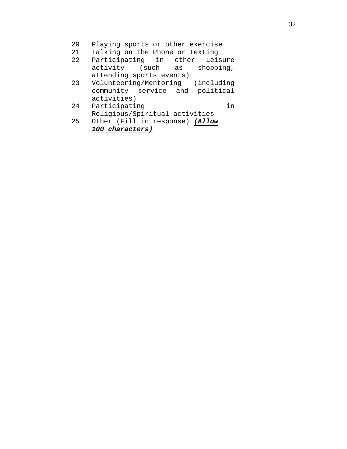- 20 Playing sports or other exercise<br>21 Talking on the Phone or Texting
- 21 Talking on the Phone or Texting<br>22 Participating in other Leisure
- Participating in other Leisure<br>activity (such as shopping, activity (such attending sports events)
- 23 Volunteering/Mentoring (including community service and political activities)
- 24 Participating in Religious/Spiritual activities
- 25 Other (Fill in response) *(Allow 100 characters)*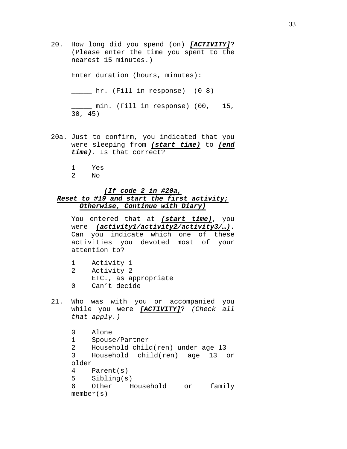20. How long did you spend (on) *[ACTIVITY]*? (Please enter the time you spent to the nearest 15 minutes.)

Enter duration (hours, minutes):

\_\_\_\_\_ hr. (Fill in response) (0-8)

\_\_\_\_\_ min. (Fill in response) (00, 15, 30, 45)

- 20a. Just to confirm, you indicated that you were sleeping from *(start time)* to *(end time)*. Is that correct?
	- 1 Yes
	- $N<sub>O</sub>$

# *(If code 2 in #20a, Reset to #19 and start the first activity; Otherwise, Continue with Diary)*

You entered that at *(start time)*, you were *(activity1/activity2/activity3/…)*. Can you indicate which one of these activities you devoted most of your attention to?

- 1 Activity 1<br>2 Activity 2 2 Activity 2 ETC., as appropriate 0 Can't decide
- 21. Who was with you or accompanied you while you were *[ACTIVITY]*? *(Check all that apply.)*

```
0 Alone<br>1 Spous
     Spouse/Partner
2 Household child(ren) under age 13
     3 Household child(ren) age 13 or 
older
4 Parent(s)<br>5 Sibling(s
5 Sibling(s)<br>6 Other H
     Other Household or family
member(s)
```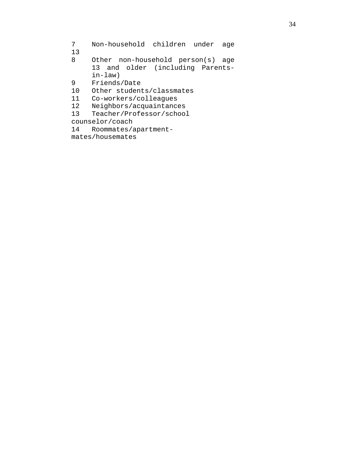7 Non-household children under age  $\begin{array}{c} 13 \\ 8 \end{array}$ 

Other non-household person(s) age 13 and older (including Parentsin-law)

9 Friends/Date<br>10 Other student

Other students/classmates

11 Co-workers/colleagues<br>12 Neighbors/acquaintance

12 Neighbors/acquaintances<br>13 Teacher/Professor/school

13 Teacher/Professor/school

counselor/coach<br>14 Roommates/a

Roommates/apartment-

mates/housemates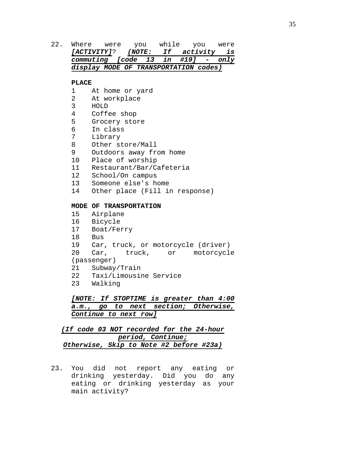22. Where were you while you were<br>[ACTIVITY]? (NOTE: If activity is *[ACTIVITY]*? *(NOTE: If commuting [code 13 in commuting [code 13 in #19] - only display MODE OF TRANSPORTATION codes)*

### **PLACE**

- 1 At home or yard
- 2 At workplace<br>3 HOLD
- 3 HOLD
- 4 Coffee shop<br>5 Grocery sto
- 5 Grocery store<br>6 In class
- 6 In class
- 7 Library<br>8 Other st
- 8 Other store/Mall<br>9 Outdoors away fr
- Outdoors away from home
- 10 Place of worship
- 11 Restaurant/Bar/Cafeteria<br>12 School/On campus
- 12 School/On campus<br>13 Someone else's h
- 13 Someone else's home<br>14 Other place (Fill i
- Other place (Fill in response)

## **MODE OF TRANSPORTATION**

- 15 Airplane
- 16 Bicycle
- 17 Boat/Ferry
- 18 Bus<br>19 Car
- 
- 19 Car, truck, or motorcycle (driver)<br>20 Car, truck, or motorcycl or motorcycle

# (passenger)<br>21 Subway

- 21 Subway/Train<br>22 Taxi/Limousii
- 22 Taxi/Limousine Service
- Walking

*[NOTE: If STOPTIME is greater than 4:00 a.m., go to next section; Otherwise, Continue to next row]*

# *(If code 03 NOT recorded for the 24-hour period, Continue; Otherwise, Skip to Note #2 before #23a)*

23. You did not report any eating or drinking yesterday. Did you do any eating or drinking yesterday as your main activity?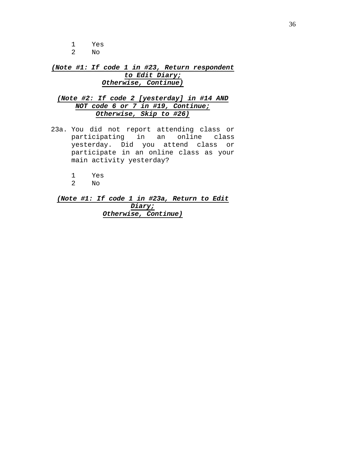1 Yes No.

*(Note #1: If code 1 in #23, Return respondent to Edit Diary; Otherwise, Continue)*

# *(Note #2: If code 2 [yesterday] in #14 AND NOT code 6 or 7 in #19, Continue; Otherwise, Skip to #26)*

- 23a. You did not report attending class or participating in an online class yesterday. Did you attend class or participate in an online class as your main activity yesterday?
	- 1 Yes
	- $\mathop{\rm No}\nolimits$

*(Note #1: If code 1 in #23a, Return to Edit Diary; Otherwise, Continue)*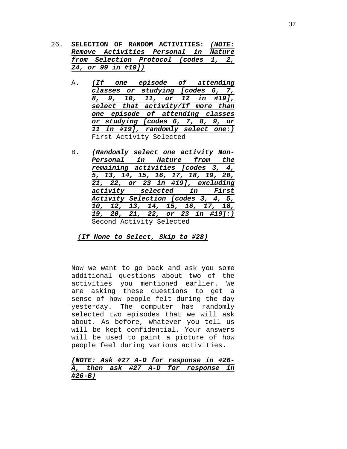- 26. **SELECTION OF RANDOM ACTIVITIES:** *(NOTE: Remove Activities Personal in Nature from Selection Protocol [codes 1, 2, 24, or 99 in #19])*
	- A. *(If one episode of attending classes or studying [codes 6, 7, 8, 9, 10, 11, or 12 in #19], select that activity/If more than one episode of attending classes or studying [codes 6, 7, 8, 9, or 11 in #19], randomly select one:)* First Activity Selected
	- B. *(Randomly select one activity Non-Personal in Nature from the remaining activities [codes 3, 4, 5, 13, 14, 15, 16, 17, 18, 19, 20, 21, 22, or 23 in #19], excluding activity selected in First Activity Selection [codes 3, 4, 5, 10, 12, 13, 14, 15, 16, 17, 18, 19, 20, 21, 22, or 23 in #19]:)* Second Activity Selected

*(If None to Select, Skip to #28)*

Now we want to go back and ask you some additional questions about two of the activities you mentioned earlier. We are asking these questions to get a sense of how people felt during the day yesterday. The computer has randomly selected two episodes that we will ask about. As before, whatever you tell us will be kept confidential. Your answers will be used to paint a picture of how people feel during various activities.

*(NOTE: Ask #27 A-D for response in #26- A, then ask #27 A-D for response in #26-B)*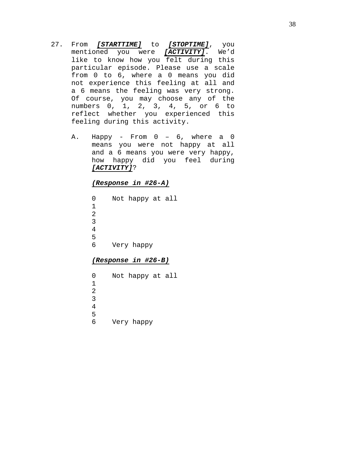- 27. From *[STARTTIME]* to *[STOPTIME]*, you mentioned you were *[ACTIVITY]*. We'd like to know how you felt during this particular episode. Please use a scale from 0 to 6, where a 0 means you did not experience this feeling at all and a 6 means the feeling was very strong. Of course, you may choose any of the numbers 0, 1, 2, 3, 4, 5, or 6 to reflect whether you experienced this feeling during this activity.
	- A. Happy From 0 6, where a 0 means you were not happy at all and a 6 means you were very happy, how happy did you feel during *[ACTIVITY]*?

*(Response in #26-A)*

0 Not happy at all 1 2 3 4 5<br>6 Very happy

## *(Response in #26-B)*

|  | Not happy at all<br>Very happy |
|--|--------------------------------|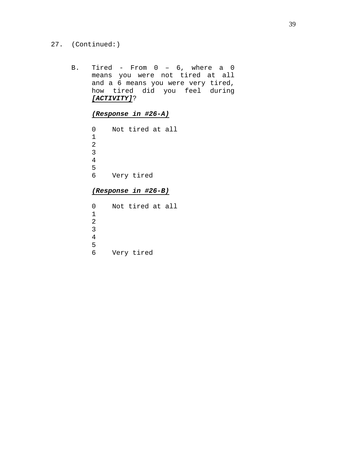- 27. (Continued:)
	- B. Tired From 0 6, where a 0 means you were not tired at all and a 6 means you were very tired, how tired did you feel during *[ACTIVITY]*?

*(Response in #26-A)*

0 Not tired at all 1 2 3 4 5 Very tired

# *(Response in #26-B)*

0 Not tired at all 1 2 3 4 5<br>6 Very tired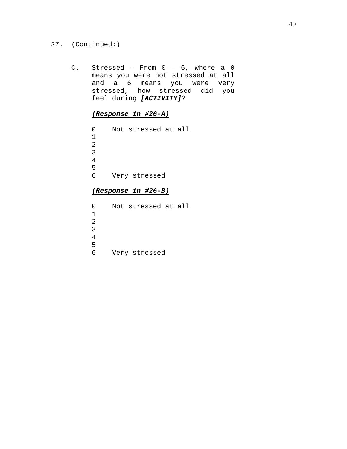## 27. (Continued:)

C. Stressed - From 0 – 6, where a 0 means you were not stressed at all and a 6 means you were very stressed, how stressed did you feel during *[ACTIVITY]*?

# *(Response in #26-A)*

 Not stressed at all Very stressed

# *(Response in #26-B)*

| 0            |  | Not stressed at all |  |
|--------------|--|---------------------|--|
| $\mathbf{1}$ |  |                     |  |
| 2            |  |                     |  |
| 3            |  |                     |  |
| 4            |  |                     |  |
| 5            |  |                     |  |
| ศ            |  | Very stressed       |  |
|              |  |                     |  |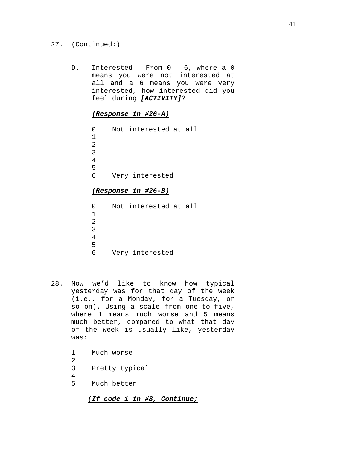- 27. (Continued:)
	- D. Interested From 0 6, where a 0 means you were not interested at all and a 6 means you were very interested, how interested did you feel during *[ACTIVITY]*?

*(Response in #26-A)*

0 Not interested at all 1 2 3 4 5 Very interested

## *(Response in #26-B)*

0 Not interested at all 1 2 3 4 5 Very interested

28. Now we'd like to know how typical yesterday was for that day of the week (i.e., for a Monday, for a Tuesday, or so on). Using a scale from one-to-five, where 1 means much worse and 5 means much better, compared to what that day of the week is usually like, yesterday was:

> 1 Much worse  $\frac{2}{3}$ Pretty typical  $\frac{4}{5}$ Much better

> > *(If code 1 in #8, Continue;*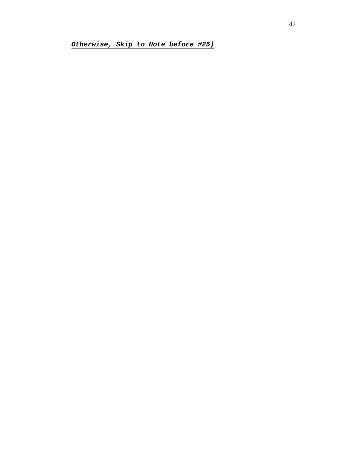*Otherwise, Skip to Note before #25)*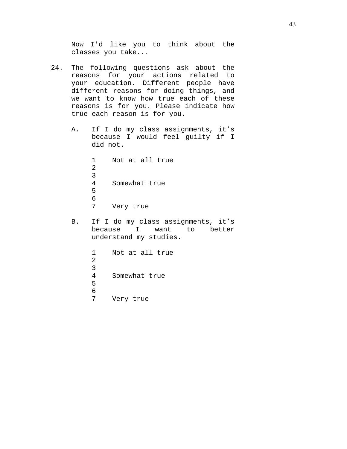Now I'd like you to think about the classes you take...

- 24. The following questions ask about the reasons for your actions related to your education. Different people have different reasons for doing things, and we want to know how true each of these reasons is for you. Please indicate how true each reason is for you.
	- A. If I do my class assignments, it's because I would feel guilty if I did not.

1 Not at all true 2 3 Somewhat true 5 6<br>7 Very true

B. If I do my class assignments, it's because I want to better understand my studies.

> 1 Not at all true 2 3<br>4 Somewhat true 5 6<br>7 Very true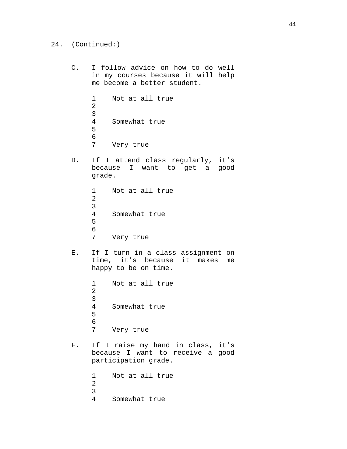C. I follow advice on how to do well in my courses because it will help me become a better student. 1 Not at all true 2 3<br>4 Somewhat true 5 6<br>7 Very true D. If I attend class regularly, it's because I want to get a good grade. 1 Not at all true 2 3<br>4 Somewhat true 5 6<br>7 Very true E. If I turn in a class assignment on time, it's because it makes me happy to be on time. 1 Not at all true 2 3<br>4 Somewhat true 5 6<br>7 Very true F. If I raise my hand in class, it's because I want to receive a good participation grade. 1 Not at all true 2 3

24. (Continued:)

Somewhat true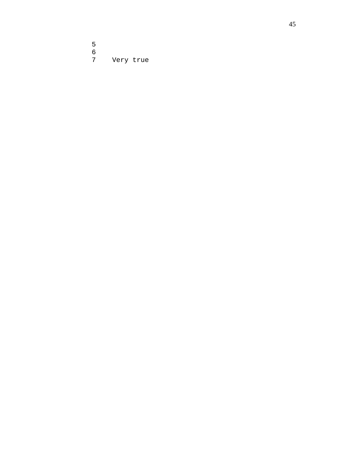5<br>6<br>7 Very true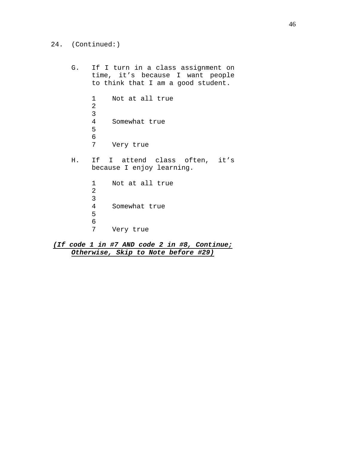G. If I turn in a class assignment on time, it's because I want people to think that I am a good student. 1 Not at all true 2 3<br>4 Somewhat true 5 6<br>7 Very true H. If I attend class often, it's because I enjoy learning. 1 Not at all true 2 3 Somewhat true 5 6<br>7 Very true

*(If code 1 in #7 AND code 2 in #8, Continue; Otherwise, Skip to Note before #29)*

24. (Continued:)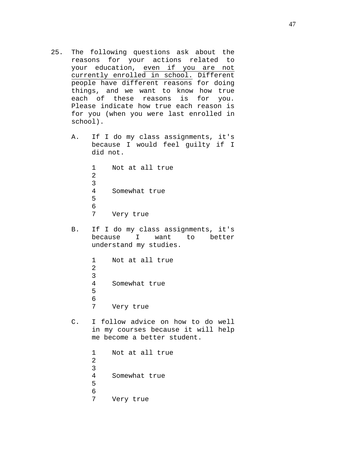- 25. The following questions ask about the<br>reasons for your actions related to for your actions related to your education, even if you are not currently enrolled in school. Different people have different reasons for doing things, and we want to know how true each of these reasons is for you. Please indicate how true each reason is for you (when you were last enrolled in school).
	- A. If I do my class assignments, it's because I would feel guilty if I did not.

1 Not at all true 2 3 Somewhat true 5 6<br>7 Very true

B. If I do my class assignments, it's<br>because I want to better because understand my studies.

> 1 Not at all true 2 3 Somewhat true 5 6<br>7 Very true

C. I follow advice on how to do well in my courses because it will help me become a better student.

> 1 Not at all true 2 3 Somewhat true 5 6<br>7 Very true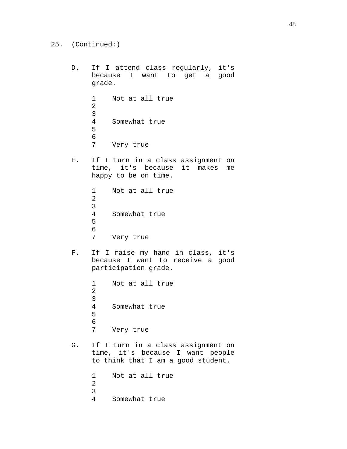```
D. If I attend class regularly, it's 
     because I want to get a good 
     grade.
     1 Not at all true
     2
     3<br>4
          Somewhat true
     5
     6<br>7
         Very true
E. If I turn in a class assignment on 
     time, it's because it makes me 
     happy to be on time.
     1 Not at all true
     2
     3
          Somewhat true
     5
     6<br>7
         Very true
F. If I raise my hand in class, it's
     because I want to receive a good 
     participation grade.
     1 Not at all true
     2
     3
          Somewhat true
     5
     6<br>7
         Very true
G. If I turn in a class assignment on 
     time, it's because I want people 
     to think that I am a good student.
     1 Not at all true
     2
     3
          Somewhat true
```
25. (Continued:)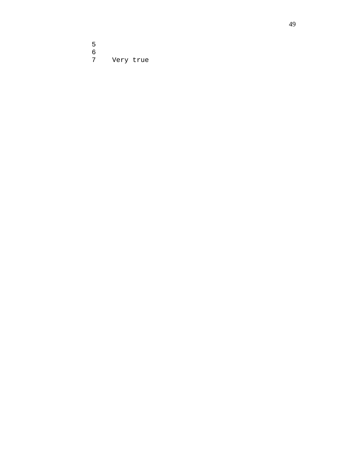5<br>6<br>7 Very true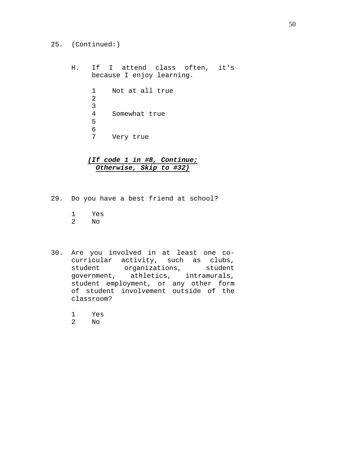- 25. (Continued:)
	- H. If I attend class often, it's because I enjoy learning.

| 1  | Not at all true |
|----|-----------------|
| 2. |                 |
| 3  |                 |
| 4  | Somewhat true   |
| 5  |                 |
| 6  |                 |
|    | Very true       |

# *(If code 1 in #8, Continue; Otherwise, Skip to #32)*

- 29. Do you have a best friend at school?
	- 1 Yes
	- $\overline{\text{No}}$
- 30. Are you involved in at least one cocurricular activity, such as clubs,<br>student organizations, student organizations, student government, athletics, intramurals, student employment, or any other form of student involvement outside of the classroom?
	- 1 Yes
	- $N<sub>O</sub>$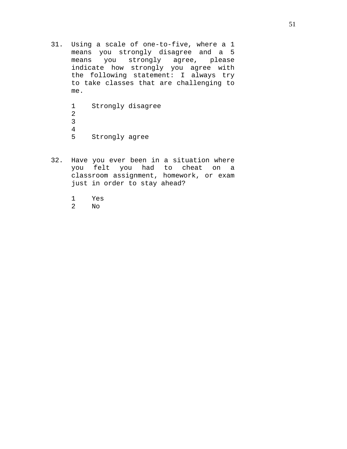31. Using a scale of one-to-five, where a 1 means you strongly disagree and a 5<br>means you strongly agree, please means you strongly agree, indicate how strongly you agree with the following statement: I always try to take classes that are challenging to me.

> 1 Strongly disagree 2 3  $\frac{4}{5}$ Strongly agree

- 32. Have you ever been in a situation where you felt you had to cheat on a classroom assignment, homework, or exam just in order to stay ahead?
	- 1 Yes<br>2 No
	- $\overline{N}$ O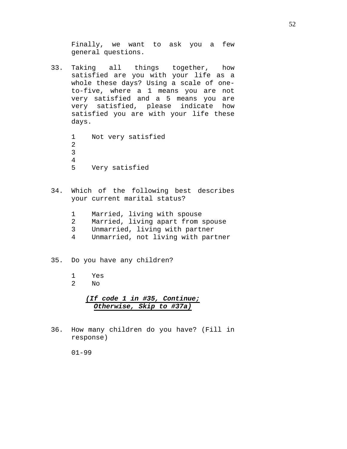Finally, we want to ask you a few general questions.

33. Taking all things together, how satisfied are you with your life as a whole these days? Using a scale of oneto-five, where a 1 means you are not very satisfied and a 5 means you are very satisfied, please indicate how satisfied you are with your life these days.

> 1 Not very satisfied 2 3  $\frac{4}{5}$ Very satisfied

- 34. Which of the following best describes your current marital status?
	- 1 Married, living with spouse<br>2 Married, living apart from
	- Married, living apart from spouse
	- 3 Unmarried, living with partner<br>4 Unmarried, not living with part
	- Unmarried, not living with partner

### 35. Do you have any children?

- 1 Yes
- 2 No

# *(If code 1 in #35, Continue; Otherwise, Skip to #37a)*

36. How many children do you have? (Fill in response)

01-99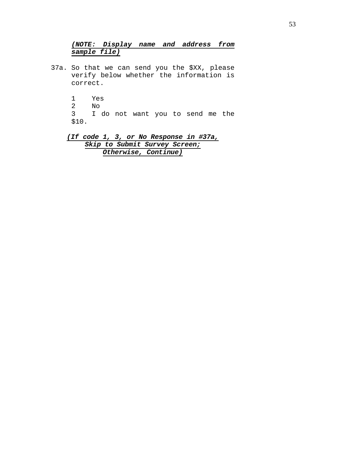# *(NOTE: Display name and address from sample file)*

- 37a. So that we can send you the \$XX, please verify below whether the information is correct.
	- 1 Yes 2 No<br>3 I I do not want you to send me the \$10.

*(If code 1, 3, or No Response in #37a, Skip to Submit Survey Screen; Otherwise, Continue)*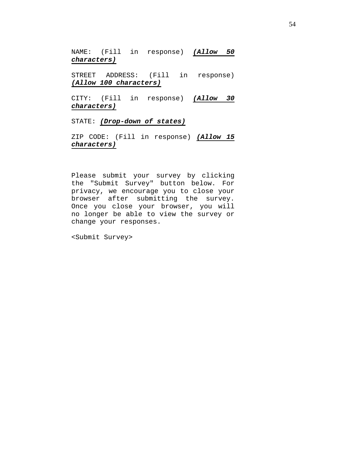NAME: (Fill in response) *(Allow 50 characters)*

STREET ADDRESS: (Fill in response) *(Allow 100 characters)*

CITY: (Fill in response) *(Allow 30 characters)*

STATE: *(Drop-down of states)*

ZIP CODE: (Fill in response) *(Allow 15 characters)*

Please submit your survey by clicking the "Submit Survey" button below. For privacy, we encourage you to close your browser after submitting the survey. Once you close your browser, you will no longer be able to view the survey or change your responses.

<Submit Survey>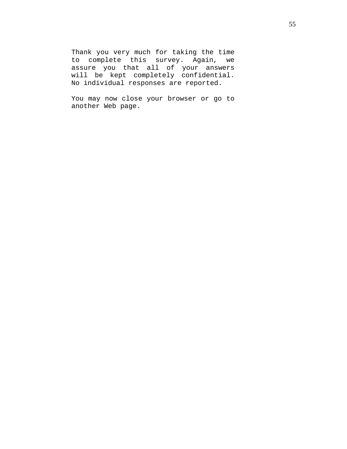Thank you very much for taking the time<br>to complete this survey. Again, we to complete this survey. Again, assure you that all of your answers will be kept completely confidential. No individual responses are reported.

You may now close your browser or go to another Web page.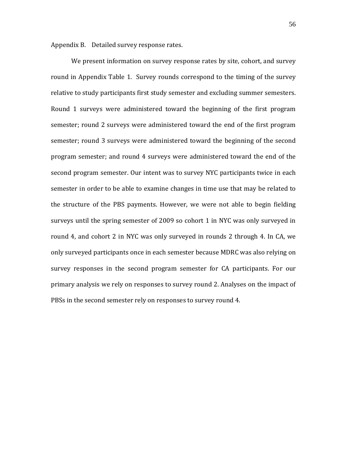Appendix B. Detailed survey response rates.

We present information on survey response rates by site, cohort, and survey round in Appendix Table 1. Survey rounds correspond to the timing of the survey relative to study participants first study semester and excluding summer semesters. Round 1 surveys were administered toward the beginning of the first program semester; round 2 surveys were administered toward the end of the first program semester; round 3 surveys were administered toward the beginning of the second program semester; and round 4 surveys were administered toward the end of the second program semester. Our intent was to survey NYC participants twice in each semester in order to be able to examine changes in time use that may be related to the structure of the PBS payments. However, we were not able to begin fielding surveys until the spring semester of 2009 so cohort 1 in NYC was only surveyed in round 4, and cohort 2 in NYC was only surveyed in rounds 2 through 4. In CA, we only surveyed participants once in each semester because MDRC was also relying on survey responses in the second program semester for CA participants. For our primary analysis we rely on responses to survey round 2. Analyses on the impact of PBSs in the second semester rely on responses to survey round 4.